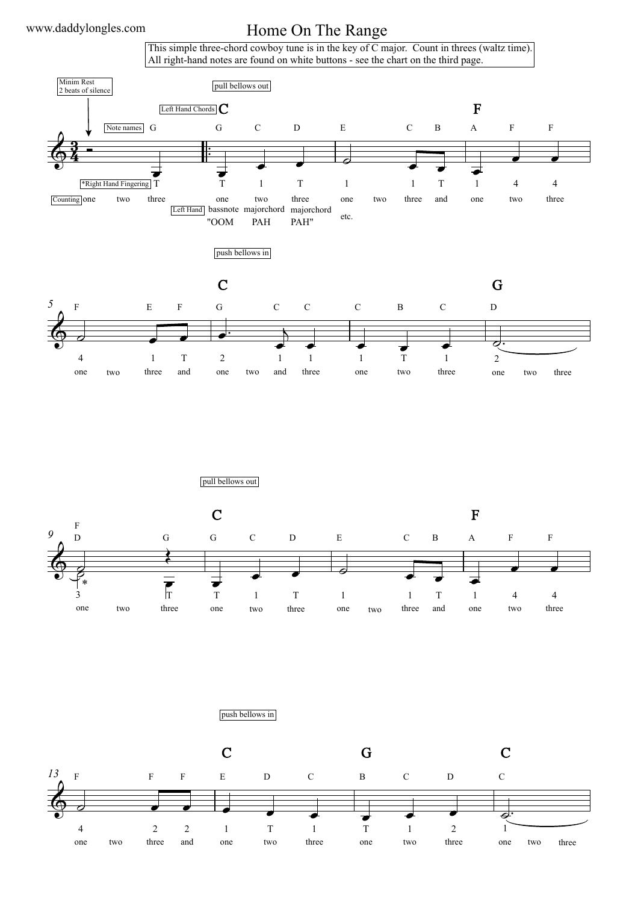## Home On The Range

This simple three-chord cowboy tune is in the key of C major. Count in threes (waltz time). All right-hand notes are found on white buttons - see the chart on the third page.



pull bellows out



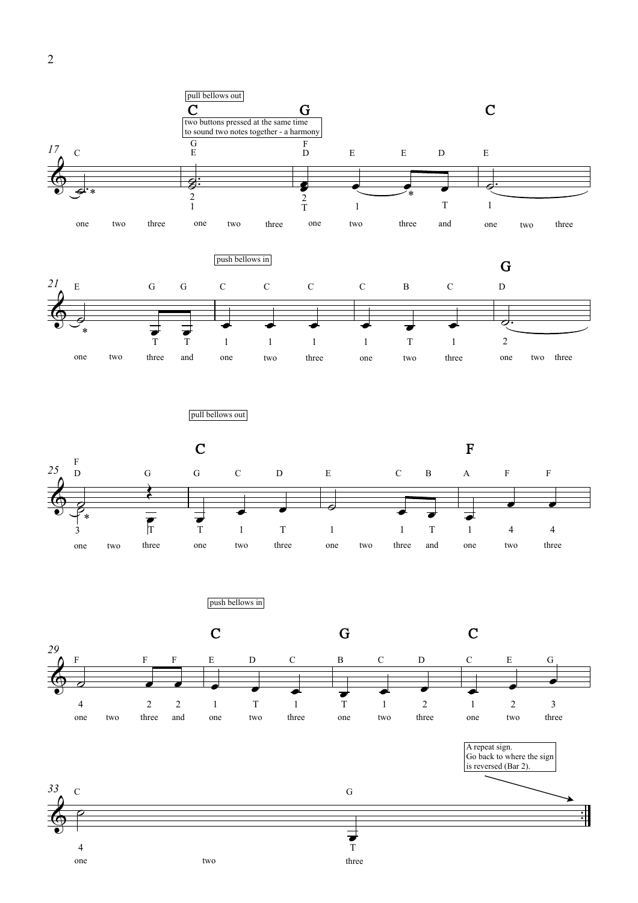